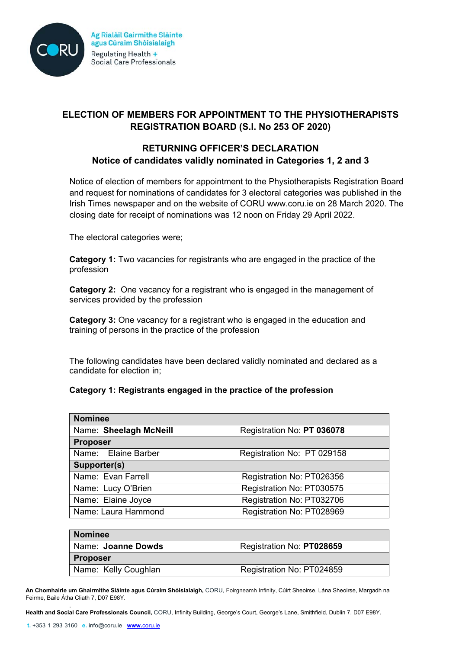

# **ELECTION OF MEMBERS FOR APPOINTMENT TO THE PHYSIOTHERAPISTS REGISTRATION BOARD (S.I. No 253 OF 2020)**

### **RETURNING OFFICER'S DECLARATION Notice of candidates validly nominated in Categories 1, 2 and 3**

Notice of election of members for appointment to the Physiotherapists Registration Board and request for nominations of candidates for 3 electoral categories was published in the Irish Times newspaper and on the website of CORU www.coru.ie on 28 March 2020. The closing date for receipt of nominations was 12 noon on Friday 29 April 2022.

The electoral categories were;

**Category 1:** Two vacancies for registrants who are engaged in the practice of the profession

**Category 2:** One vacancy for a registrant who is engaged in the management of services provided by the profession

**Category 3:** One vacancy for a registrant who is engaged in the education and training of persons in the practice of the profession

The following candidates have been declared validly nominated and declared as a candidate for election in;

### **Category 1: Registrants engaged in the practice of the profession**

| <b>Nominee</b>           |                            |
|--------------------------|----------------------------|
| Name: Sheelagh McNeill   | Registration No: PT 036078 |
| <b>Proposer</b>          |                            |
| Name: Elaine Barber      | Registration No: PT 029158 |
| Supporter(s)             |                            |
| Name: Evan Farrell       | Registration No: PT026356  |
| Name: Lucy O'Brien       | Registration No: PT030575  |
| Name: Elaine Joyce       | Registration No: PT032706  |
| Name: Laura Hammond      | Registration No: PT028969  |
|                          |                            |
| <b>Nominee</b>           |                            |
| Magazi Japanese Barrista | Desistration No. BT000CFO  |

| <b>ROHIIRE</b>       |                           |
|----------------------|---------------------------|
| Name: Joanne Dowds   | Registration No: PT028659 |
| <b>Proposer</b>      |                           |
| Name: Kelly Coughlan | Registration No: PT024859 |

**An Chomhairle um Ghairmithe Sláinte agus Cúraim Shóisialaigh,** CORU, Foirgneamh Infinity, Cúirt Sheoirse, Lána Sheoirse, Margadh na Feirme, Baile Átha Cliath 7, D07 E98Y.

. **Health and Social Care Professionals Council,** CORU, Infinity Building, George's Court, George's Lane, Smithfield, Dublin 7, D07 E98Y.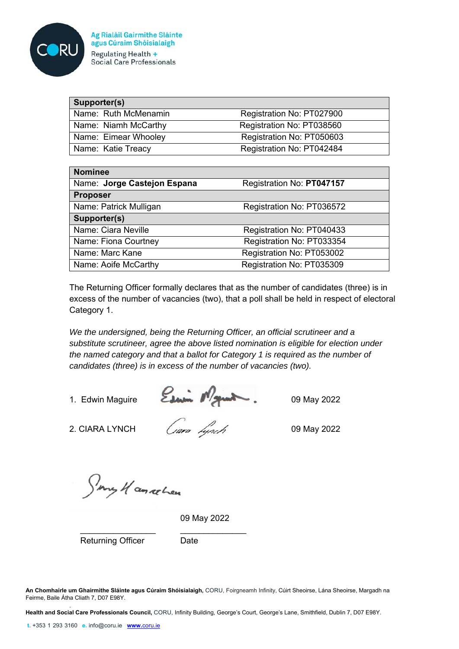

| Ag Rialáil Gairmithe Sláinte     |  |
|----------------------------------|--|
| agus Cúraim Shóisialaigh         |  |
| Regulating Health $+$            |  |
| <b>Social Care Professionals</b> |  |

| Supporter(s)         |                           |
|----------------------|---------------------------|
| Name: Ruth McMenamin | Registration No: PT027900 |
| Name: Niamh McCarthy | Registration No: PT038560 |
| Name: Eimear Whooley | Registration No: PT050603 |
| Name: Katie Treacy   | Registration No: PT042484 |

| <b>Nominee</b>              |                           |
|-----------------------------|---------------------------|
| Name: Jorge Castejon Espana | Registration No: PT047157 |
| <b>Proposer</b>             |                           |
| Name: Patrick Mulligan      | Registration No: PT036572 |
| Supporter(s)                |                           |
| Name: Ciara Neville         | Registration No: PT040433 |
| Name: Fiona Courtney        | Registration No: PT033354 |
| Name: Marc Kane             | Registration No: PT053002 |
| Name: Aoife McCarthy        | Registration No: PT035309 |

The Returning Officer formally declares that as the number of candidates (three) is in excess of the number of vacancies (two), that a poll shall be held in respect of electoral Category 1.

*We the undersigned, being the Returning Officer, an official scrutineer and a substitute scrutineer, agree the above listed nomination is eligible for election under the named category and that a ballot for Category 1 is required as the number of candidates (three) is in excess of the number of vacancies (two).* 

1. Edwin Maguire **2 July 19 May 2022** 

2. CIARA LYNCH  $\sqrt{a}ra \sqrt{b}$  09 May 2022

Smy Hannelen

09 May 2022

Returning Officer Date

\_\_\_\_\_\_\_\_\_\_\_\_\_\_\_\_ \_\_\_\_\_\_\_\_\_\_\_\_\_\_

**An Chomhairle um Ghairmithe Sláinte agus Cúraim Shóisialaigh,** CORU, Foirgneamh Infinity, Cúirt Sheoirse, Lána Sheoirse, Margadh na Feirme, Baile Átha Cliath 7, D07 E98Y.

. **Health and Social Care Professionals Council,** CORU, Infinity Building, George's Court, George's Lane, Smithfield, Dublin 7, D07 E98Y.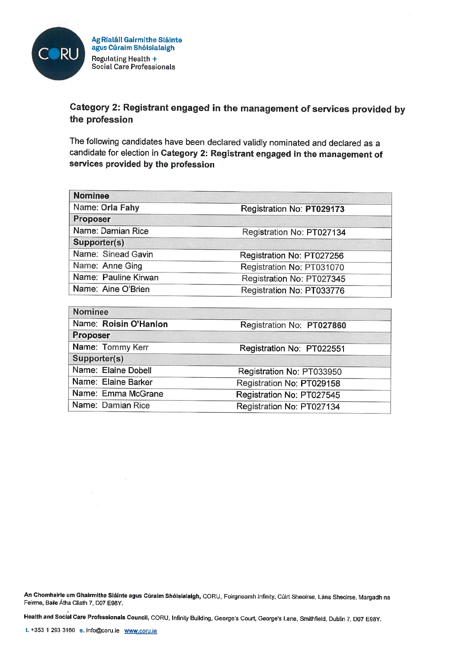

# Category 2: Registrant engaged in the management of services provided by the profession

The following candidates have been declared validly nominated and declared as a candidate for election in Category 2: Registrant engaged in the management of services provided by the profession

| <b>Nominee</b>       |                           |
|----------------------|---------------------------|
| Name: Orla Fahy      | Registration No: PT029173 |
| Proposer             |                           |
| Name: Damian Rice    | Registration No: PT027134 |
| Supporter(s)         |                           |
| Name: Sinead Gavin   | Registration No: PT027256 |
| Name: Anne Ging      | Registration No: PT031070 |
| Name: Pauline Kirwan | Registration No: PT027345 |
| Name: Aine O'Brien   | Registration No: PT033776 |

| NOTHRE                |                           |
|-----------------------|---------------------------|
| Name: Roisin O'Hanlon | Registration No: PT027860 |
| <b>Proposer</b>       |                           |
| Name: Tommy Kerr      | Registration No: PT022551 |
| Supporter(s)          |                           |
| Name: Elaine Dobell   | Registration No: PT033950 |
| Name: Elaine Barker   | Registration No: PT029158 |
| Name: Emma McGrane    | Registration No: PT027545 |
| Name: Damian Rice     | Registration No: PT027134 |
|                       |                           |

An Chomhairle um Ghairmithe Sláinte agus Cúraim Shóisialaigh, CORU, Foirgneamh Infinity, Cúirt Sheoirse, Lána Sheoirse, Margadh na Feirme, Baile Átha Cliath 7, D07 E98Y.

Health and Social Care Professionals Council, CORU, Infinity Building, George's Court, George's Lane, Smithfield, Dublin 7, D07 E98Y.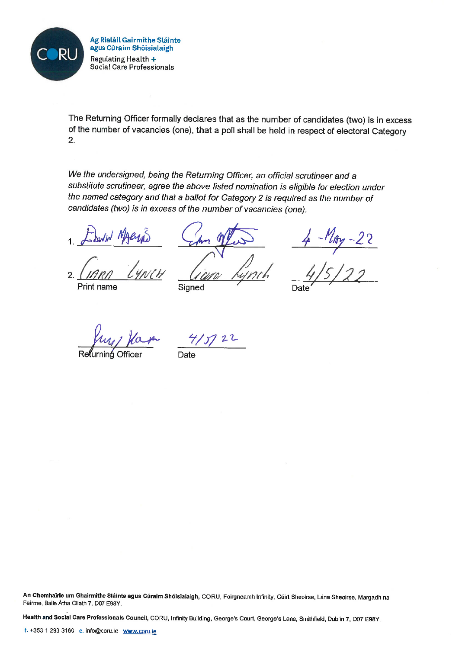

The Returning Officer formally declares that as the number of candidates (two) is in excess of the number of vacancies (one), that a poll shall be held in respect of electoral Category  $2.$ 

We the undersigned, being the Returning Officer, an official scrutineer and a substitute scrutineer, agree the above listed nomination is eligible for election under the named category and that a ballot for Category 2 is required as the number of candidates (two) is in excess of the number of vacancies (one).

Print name

Signed

 $\frac{-M_{My} - 22}{\sqrt{5/22}}$ 

 $22$ 

Date

An Chomhairle um Ghairmithe Sláinte agus Cúraim Shóisialaigh, CORU, Foirgneamh Infinity, Cúirt Sheoirse, Lána Sheoirse, Margadh na Feirme, Baile Átha Cliath 7, D07 E98Y.

Health and Social Care Professionals Council, CORU, Infinity Building, George's Court, George's Lane, Smithfield, Dublin 7, D07 E98Y.